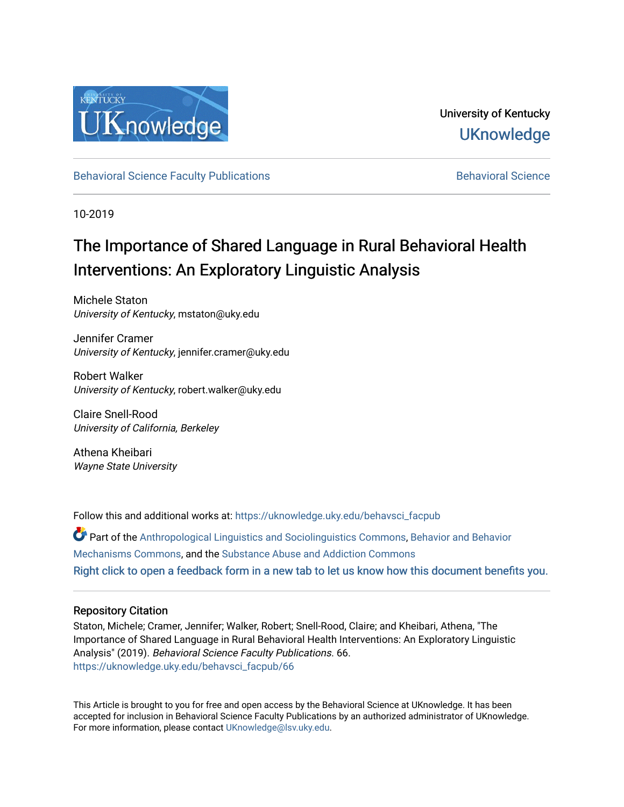

# University of Kentucky **UKnowledge**

[Behavioral Science Faculty Publications](https://uknowledge.uky.edu/behavsci_facpub) **Behavioral Science** Behavioral Science

10-2019

# The Importance of Shared Language in Rural Behavioral Health Interventions: An Exploratory Linguistic Analysis

Michele Staton University of Kentucky, mstaton@uky.edu

Jennifer Cramer University of Kentucky, jennifer.cramer@uky.edu

Robert Walker University of Kentucky, robert.walker@uky.edu

Claire Snell-Rood University of California, Berkeley

Athena Kheibari Wayne State University

Follow this and additional works at: [https://uknowledge.uky.edu/behavsci\\_facpub](https://uknowledge.uky.edu/behavsci_facpub?utm_source=uknowledge.uky.edu%2Fbehavsci_facpub%2F66&utm_medium=PDF&utm_campaign=PDFCoverPages)

Part of the [Anthropological Linguistics and Sociolinguistics Commons,](http://network.bepress.com/hgg/discipline/372?utm_source=uknowledge.uky.edu%2Fbehavsci_facpub%2F66&utm_medium=PDF&utm_campaign=PDFCoverPages) [Behavior and Behavior](http://network.bepress.com/hgg/discipline/963?utm_source=uknowledge.uky.edu%2Fbehavsci_facpub%2F66&utm_medium=PDF&utm_campaign=PDFCoverPages)  [Mechanisms Commons,](http://network.bepress.com/hgg/discipline/963?utm_source=uknowledge.uky.edu%2Fbehavsci_facpub%2F66&utm_medium=PDF&utm_campaign=PDFCoverPages) and the [Substance Abuse and Addiction Commons](http://network.bepress.com/hgg/discipline/710?utm_source=uknowledge.uky.edu%2Fbehavsci_facpub%2F66&utm_medium=PDF&utm_campaign=PDFCoverPages)  [Right click to open a feedback form in a new tab to let us know how this document benefits you.](https://uky.az1.qualtrics.com/jfe/form/SV_9mq8fx2GnONRfz7)

# Repository Citation

Staton, Michele; Cramer, Jennifer; Walker, Robert; Snell-Rood, Claire; and Kheibari, Athena, "The Importance of Shared Language in Rural Behavioral Health Interventions: An Exploratory Linguistic Analysis" (2019). Behavioral Science Faculty Publications. 66. [https://uknowledge.uky.edu/behavsci\\_facpub/66](https://uknowledge.uky.edu/behavsci_facpub/66?utm_source=uknowledge.uky.edu%2Fbehavsci_facpub%2F66&utm_medium=PDF&utm_campaign=PDFCoverPages) 

This Article is brought to you for free and open access by the Behavioral Science at UKnowledge. It has been accepted for inclusion in Behavioral Science Faculty Publications by an authorized administrator of UKnowledge. For more information, please contact [UKnowledge@lsv.uky.edu.](mailto:UKnowledge@lsv.uky.edu)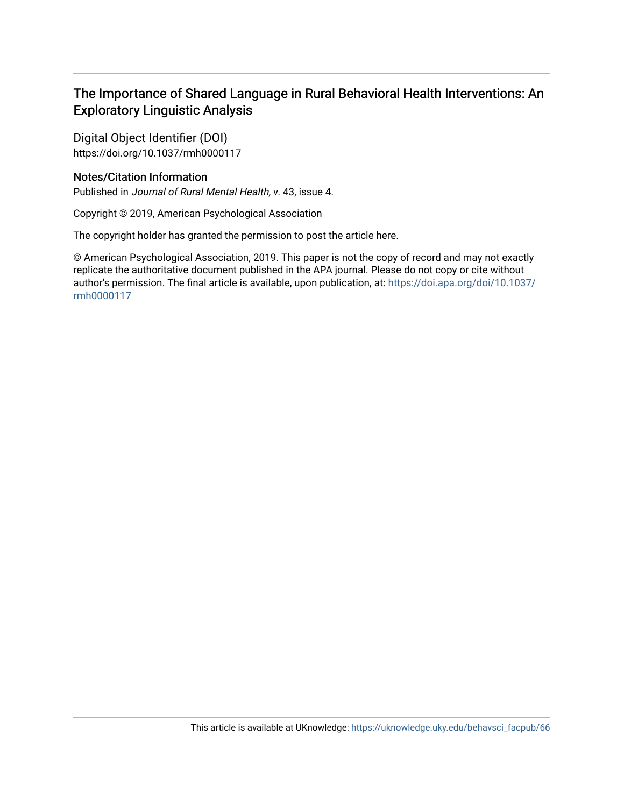# The Importance of Shared Language in Rural Behavioral Health Interventions: An Exploratory Linguistic Analysis

Digital Object Identifier (DOI) https://doi.org/10.1037/rmh0000117

# Notes/Citation Information

Published in Journal of Rural Mental Health, v. 43, issue 4.

Copyright © 2019, American Psychological Association

The copyright holder has granted the permission to post the article here.

© American Psychological Association, 2019. This paper is not the copy of record and may not exactly replicate the authoritative document published in the APA journal. Please do not copy or cite without author's permission. The final article is available, upon publication, at: [https://doi.apa.org/doi/10.1037/](https://doi.apa.org/doi/10.1037/rmh0000117) [rmh0000117](https://doi.apa.org/doi/10.1037/rmh0000117)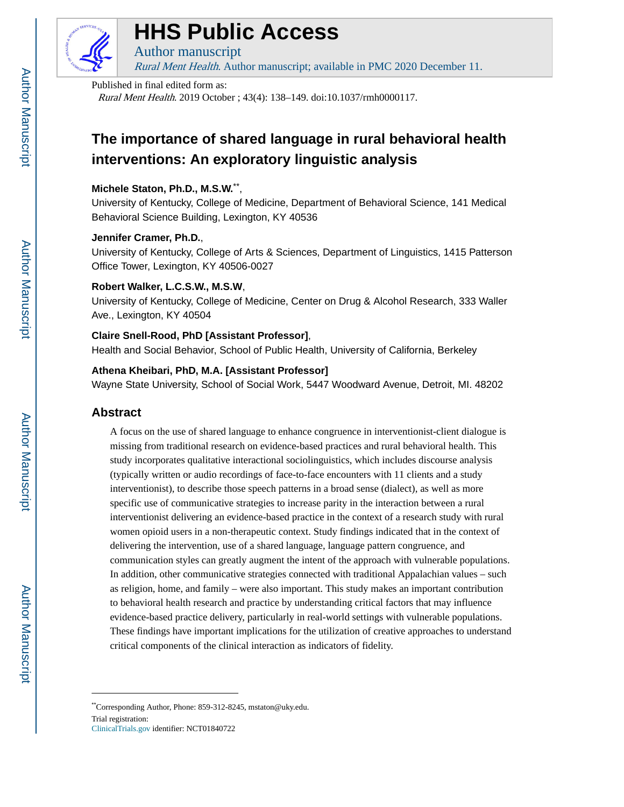

# **HHS Public Access**

Author manuscript Rural Ment Health. Author manuscript; available in PMC 2020 December 11.

#### Published in final edited form as:

Rural Ment Health. 2019 October ; 43(4): 138–149. doi:10.1037/rmh0000117.

# **The importance of shared language in rural behavioral health interventions: An exploratory linguistic analysis**

# **Michele Staton, Ph.D., M.S.W.**\*\* ,

University of Kentucky, College of Medicine, Department of Behavioral Science, 141 Medical Behavioral Science Building, Lexington, KY 40536

# **Jennifer Cramer, Ph.D.**,

University of Kentucky, College of Arts & Sciences, Department of Linguistics, 1415 Patterson Office Tower, Lexington, KY 40506-0027

# **Robert Walker, L.C.S.W., M.S.W**,

University of Kentucky, College of Medicine, Center on Drug & Alcohol Research, 333 Waller Ave., Lexington, KY 40504

# **Claire Snell-Rood, PhD [Assistant Professor]**,

Health and Social Behavior, School of Public Health, University of California, Berkeley

# **Athena Kheibari, PhD, M.A. [Assistant Professor]**

Wayne State University, School of Social Work, 5447 Woodward Avenue, Detroit, MI. 48202

# **Abstract**

A focus on the use of shared language to enhance congruence in interventionist-client dialogue is missing from traditional research on evidence-based practices and rural behavioral health. This study incorporates qualitative interactional sociolinguistics, which includes discourse analysis (typically written or audio recordings of face-to-face encounters with 11 clients and a study interventionist), to describe those speech patterns in a broad sense (dialect), as well as more specific use of communicative strategies to increase parity in the interaction between a rural interventionist delivering an evidence-based practice in the context of a research study with rural women opioid users in a non-therapeutic context. Study findings indicated that in the context of delivering the intervention, use of a shared language, language pattern congruence, and communication styles can greatly augment the intent of the approach with vulnerable populations. In addition, other communicative strategies connected with traditional Appalachian values – such as religion, home, and family – were also important. This study makes an important contribution to behavioral health research and practice by understanding critical factors that may influence evidence-based practice delivery, particularly in real-world settings with vulnerable populations. These findings have important implications for the utilization of creative approaches to understand critical components of the clinical interaction as indicators of fidelity.

<sup>\*\*</sup>Corresponding Author, Phone: 859-312-8245, mstaton@uky.edu.

Trial registration: [ClinicalTrials.gov](http://ClinicalTrials.gov) identifier: NCT01840722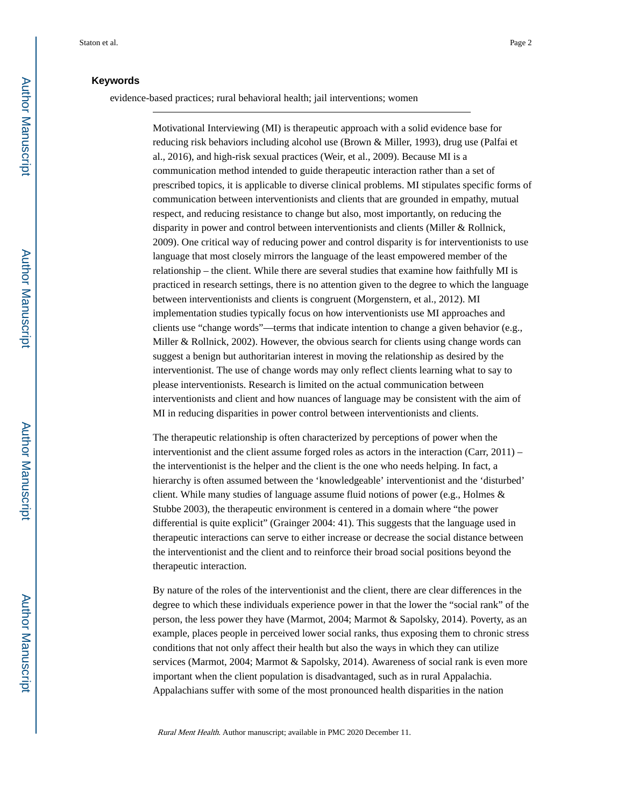#### **Keywords**

evidence-based practices; rural behavioral health; jail interventions; women

Motivational Interviewing (MI) is therapeutic approach with a solid evidence base for reducing risk behaviors including alcohol use (Brown & Miller, 1993), drug use (Palfai et al., 2016), and high-risk sexual practices (Weir, et al., 2009). Because MI is a communication method intended to guide therapeutic interaction rather than a set of prescribed topics, it is applicable to diverse clinical problems. MI stipulates specific forms of communication between interventionists and clients that are grounded in empathy, mutual respect, and reducing resistance to change but also, most importantly, on reducing the disparity in power and control between interventionists and clients (Miller & Rollnick, 2009). One critical way of reducing power and control disparity is for interventionists to use language that most closely mirrors the language of the least empowered member of the relationship – the client. While there are several studies that examine how faithfully MI is practiced in research settings, there is no attention given to the degree to which the language between interventionists and clients is congruent (Morgenstern, et al., 2012). MI implementation studies typically focus on how interventionists use MI approaches and clients use "change words"—terms that indicate intention to change a given behavior (e.g., Miller & Rollnick, 2002). However, the obvious search for clients using change words can suggest a benign but authoritarian interest in moving the relationship as desired by the interventionist. The use of change words may only reflect clients learning what to say to please interventionists. Research is limited on the actual communication between interventionists and client and how nuances of language may be consistent with the aim of MI in reducing disparities in power control between interventionists and clients.

The therapeutic relationship is often characterized by perceptions of power when the interventionist and the client assume forged roles as actors in the interaction (Carr,  $2011$ ) – the interventionist is the helper and the client is the one who needs helping. In fact, a hierarchy is often assumed between the 'knowledgeable' interventionist and the 'disturbed' client. While many studies of language assume fluid notions of power (e.g., Holmes & Stubbe 2003), the therapeutic environment is centered in a domain where "the power differential is quite explicit" (Grainger 2004: 41). This suggests that the language used in therapeutic interactions can serve to either increase or decrease the social distance between the interventionist and the client and to reinforce their broad social positions beyond the therapeutic interaction.

By nature of the roles of the interventionist and the client, there are clear differences in the degree to which these individuals experience power in that the lower the "social rank" of the person, the less power they have (Marmot, 2004; Marmot & Sapolsky, 2014). Poverty, as an example, places people in perceived lower social ranks, thus exposing them to chronic stress conditions that not only affect their health but also the ways in which they can utilize services (Marmot, 2004; Marmot & Sapolsky, 2014). Awareness of social rank is even more important when the client population is disadvantaged, such as in rural Appalachia. Appalachians suffer with some of the most pronounced health disparities in the nation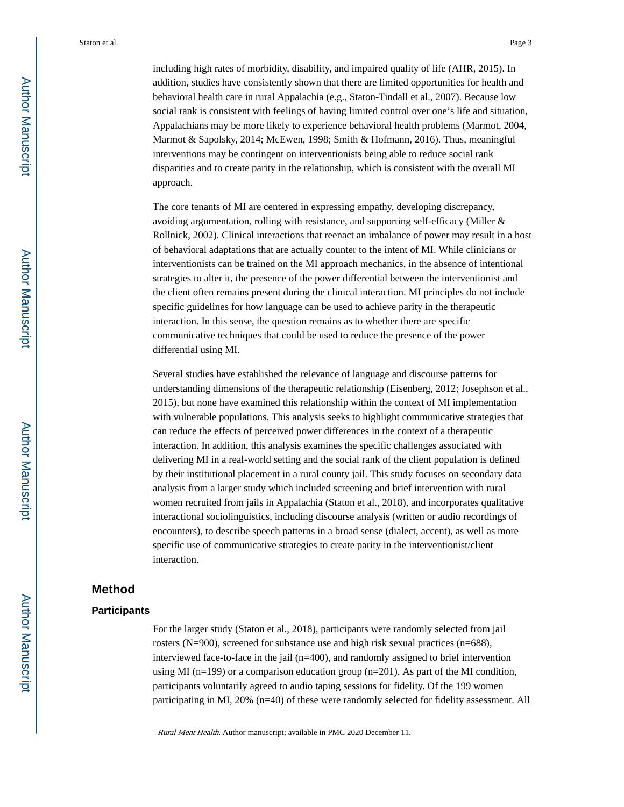including high rates of morbidity, disability, and impaired quality of life (AHR, 2015). In addition, studies have consistently shown that there are limited opportunities for health and behavioral health care in rural Appalachia (e.g., Staton-Tindall et al., 2007). Because low social rank is consistent with feelings of having limited control over one's life and situation, Appalachians may be more likely to experience behavioral health problems (Marmot, 2004, Marmot & Sapolsky, 2014; McEwen, 1998; Smith & Hofmann, 2016). Thus, meaningful interventions may be contingent on interventionists being able to reduce social rank disparities and to create parity in the relationship, which is consistent with the overall MI approach.

The core tenants of MI are centered in expressing empathy, developing discrepancy, avoiding argumentation, rolling with resistance, and supporting self-efficacy (Miller & Rollnick, 2002). Clinical interactions that reenact an imbalance of power may result in a host of behavioral adaptations that are actually counter to the intent of MI. While clinicians or interventionists can be trained on the MI approach mechanics, in the absence of intentional strategies to alter it, the presence of the power differential between the interventionist and the client often remains present during the clinical interaction. MI principles do not include specific guidelines for how language can be used to achieve parity in the therapeutic interaction. In this sense, the question remains as to whether there are specific communicative techniques that could be used to reduce the presence of the power differential using MI.

Several studies have established the relevance of language and discourse patterns for understanding dimensions of the therapeutic relationship (Eisenberg, 2012; Josephson et al., 2015), but none have examined this relationship within the context of MI implementation with vulnerable populations. This analysis seeks to highlight communicative strategies that can reduce the effects of perceived power differences in the context of a therapeutic interaction. In addition, this analysis examines the specific challenges associated with delivering MI in a real-world setting and the social rank of the client population is defined by their institutional placement in a rural county jail. This study focuses on secondary data analysis from a larger study which included screening and brief intervention with rural women recruited from jails in Appalachia (Staton et al., 2018), and incorporates qualitative interactional sociolinguistics, including discourse analysis (written or audio recordings of encounters), to describe speech patterns in a broad sense (dialect, accent), as well as more specific use of communicative strategies to create parity in the interventionist/client interaction.

### **Method**

#### **Participants**

For the larger study (Staton et al., 2018), participants were randomly selected from jail rosters (N=900), screened for substance use and high risk sexual practices (n=688), interviewed face-to-face in the jail (n=400), and randomly assigned to brief intervention using MI ( $n=199$ ) or a comparison education group ( $n=201$ ). As part of the MI condition, participants voluntarily agreed to audio taping sessions for fidelity. Of the 199 women participating in MI, 20% (n=40) of these were randomly selected for fidelity assessment. All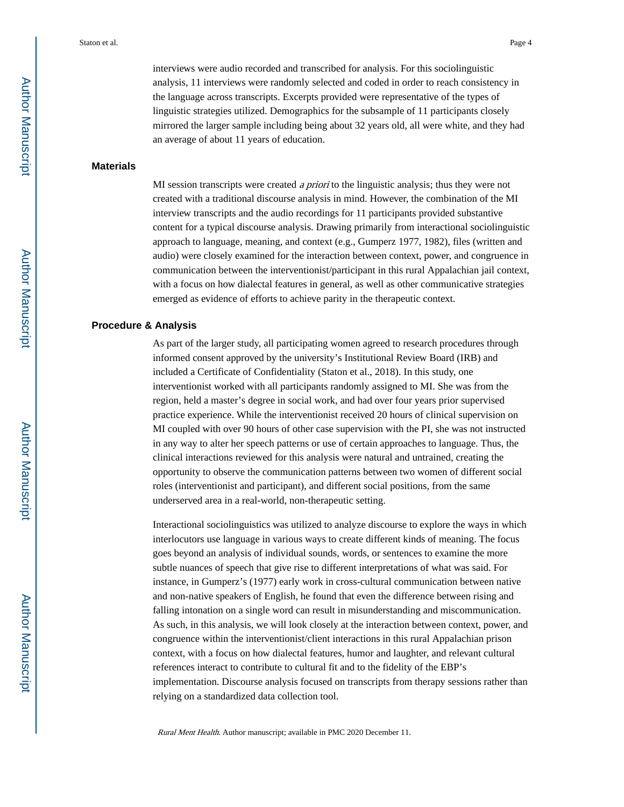interviews were audio recorded and transcribed for analysis. For this sociolinguistic analysis, 11 interviews were randomly selected and coded in order to reach consistency in the language across transcripts. Excerpts provided were representative of the types of linguistic strategies utilized. Demographics for the subsample of 11 participants closely mirrored the larger sample including being about 32 years old, all were white, and they had an average of about 11 years of education.

#### **Materials**

MI session transcripts were created a priori to the linguistic analysis; thus they were not created with a traditional discourse analysis in mind. However, the combination of the MI interview transcripts and the audio recordings for 11 participants provided substantive content for a typical discourse analysis. Drawing primarily from interactional sociolinguistic approach to language, meaning, and context (e.g., Gumperz 1977, 1982), files (written and audio) were closely examined for the interaction between context, power, and congruence in communication between the interventionist/participant in this rural Appalachian jail context, with a focus on how dialectal features in general, as well as other communicative strategies emerged as evidence of efforts to achieve parity in the therapeutic context.

#### **Procedure & Analysis**

As part of the larger study, all participating women agreed to research procedures through informed consent approved by the university's Institutional Review Board (IRB) and included a Certificate of Confidentiality (Staton et al., 2018). In this study, one interventionist worked with all participants randomly assigned to MI. She was from the region, held a master's degree in social work, and had over four years prior supervised practice experience. While the interventionist received 20 hours of clinical supervision on MI coupled with over 90 hours of other case supervision with the PI, she was not instructed in any way to alter her speech patterns or use of certain approaches to language. Thus, the clinical interactions reviewed for this analysis were natural and untrained, creating the opportunity to observe the communication patterns between two women of different social roles (interventionist and participant), and different social positions, from the same underserved area in a real-world, non-therapeutic setting.

Interactional sociolinguistics was utilized to analyze discourse to explore the ways in which interlocutors use language in various ways to create different kinds of meaning. The focus goes beyond an analysis of individual sounds, words, or sentences to examine the more subtle nuances of speech that give rise to different interpretations of what was said. For instance, in Gumperz's (1977) early work in cross-cultural communication between native and non-native speakers of English, he found that even the difference between rising and falling intonation on a single word can result in misunderstanding and miscommunication. As such, in this analysis, we will look closely at the interaction between context, power, and congruence within the interventionist/client interactions in this rural Appalachian prison context, with a focus on how dialectal features, humor and laughter, and relevant cultural references interact to contribute to cultural fit and to the fidelity of the EBP's implementation. Discourse analysis focused on transcripts from therapy sessions rather than relying on a standardized data collection tool.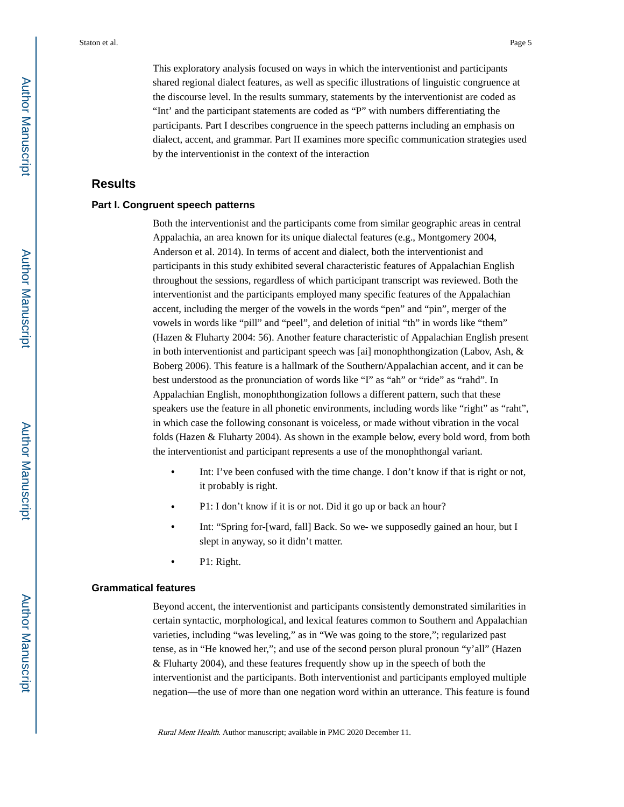This exploratory analysis focused on ways in which the interventionist and participants shared regional dialect features, as well as specific illustrations of linguistic congruence at the discourse level. In the results summary, statements by the interventionist are coded as "Int' and the participant statements are coded as "P" with numbers differentiating the participants. Part I describes congruence in the speech patterns including an emphasis on dialect, accent, and grammar. Part II examines more specific communication strategies used by the interventionist in the context of the interaction

#### **Results**

#### **Part I. Congruent speech patterns**

Both the interventionist and the participants come from similar geographic areas in central Appalachia, an area known for its unique dialectal features (e.g., Montgomery 2004, Anderson et al. 2014). In terms of accent and dialect, both the interventionist and participants in this study exhibited several characteristic features of Appalachian English throughout the sessions, regardless of which participant transcript was reviewed. Both the interventionist and the participants employed many specific features of the Appalachian accent, including the merger of the vowels in the words "pen" and "pin", merger of the vowels in words like "pill" and "peel", and deletion of initial "th" in words like "them" (Hazen & Fluharty 2004: 56). Another feature characteristic of Appalachian English present in both interventionist and participant speech was [ai] monophthongization (Labov, Ash, & Boberg 2006). This feature is a hallmark of the Southern/Appalachian accent, and it can be best understood as the pronunciation of words like "I" as "ah" or "ride" as "rahd". In Appalachian English, monophthongization follows a different pattern, such that these speakers use the feature in all phonetic environments, including words like "right" as "raht", in which case the following consonant is voiceless, or made without vibration in the vocal folds (Hazen & Fluharty 2004). As shown in the example below, every bold word, from both the interventionist and participant represents a use of the monophthongal variant.

- Int: I've been confused with the time change. I don't know if that is right or not, it probably is right.
- **•** P1: I don't know if it is or not. Did it go up or back an hour?
- **•** Int: "Spring for-[ward, fall] Back. So we- we supposedly gained an hour, but I slept in anyway, so it didn't matter.
- **•** P1: Right.

#### **Grammatical features**

Beyond accent, the interventionist and participants consistently demonstrated similarities in certain syntactic, morphological, and lexical features common to Southern and Appalachian varieties, including "was leveling," as in "We was going to the store,"; regularized past tense, as in "He knowed her,"; and use of the second person plural pronoun "y'all" (Hazen & Fluharty 2004), and these features frequently show up in the speech of both the interventionist and the participants. Both interventionist and participants employed multiple negation—the use of more than one negation word within an utterance. This feature is found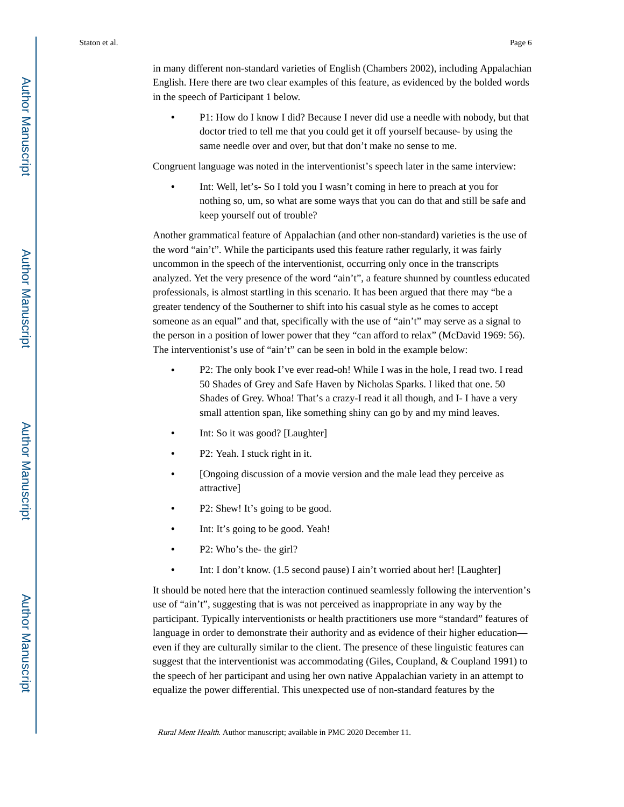in many different non-standard varieties of English (Chambers 2002), including Appalachian English. Here there are two clear examples of this feature, as evidenced by the bolded words in the speech of Participant 1 below.

**•** P1: How do I know I did? Because I never did use a needle with nobody, but that doctor tried to tell me that you could get it off yourself because- by using the same needle over and over, but that don't make no sense to me.

Congruent language was noted in the interventionist's speech later in the same interview:

Int: Well, let's- So I told you I wasn't coming in here to preach at you for nothing so, um, so what are some ways that you can do that and still be safe and keep yourself out of trouble?

Another grammatical feature of Appalachian (and other non-standard) varieties is the use of the word "ain't". While the participants used this feature rather regularly, it was fairly uncommon in the speech of the interventionist, occurring only once in the transcripts analyzed. Yet the very presence of the word "ain't", a feature shunned by countless educated professionals, is almost startling in this scenario. It has been argued that there may "be a greater tendency of the Southerner to shift into his casual style as he comes to accept someone as an equal" and that, specifically with the use of "ain't" may serve as a signal to the person in a position of lower power that they "can afford to relax" (McDavid 1969: 56). The interventionist's use of "ain't" can be seen in bold in the example below:

- **•** P2: The only book I've ever read-oh! While I was in the hole, I read two. I read 50 Shades of Grey and Safe Haven by Nicholas Sparks. I liked that one. 50 Shades of Grey. Whoa! That's a crazy-I read it all though, and I- I have a very small attention span, like something shiny can go by and my mind leaves.
- **•** Int: So it was good? [Laughter]
- **•** P2: Yeah. I stuck right in it.
- **•** [Ongoing discussion of a movie version and the male lead they perceive as attractive]
- P2: Shew! It's going to be good.
- Int: It's going to be good. Yeah!
- **•** P2: Who's the- the girl?
- Int: I don't know. (1.5 second pause) I ain't worried about her! [Laughter]

It should be noted here that the interaction continued seamlessly following the intervention's use of "ain't", suggesting that is was not perceived as inappropriate in any way by the participant. Typically interventionists or health practitioners use more "standard" features of language in order to demonstrate their authority and as evidence of their higher education even if they are culturally similar to the client. The presence of these linguistic features can suggest that the interventionist was accommodating (Giles, Coupland, & Coupland 1991) to the speech of her participant and using her own native Appalachian variety in an attempt to equalize the power differential. This unexpected use of non-standard features by the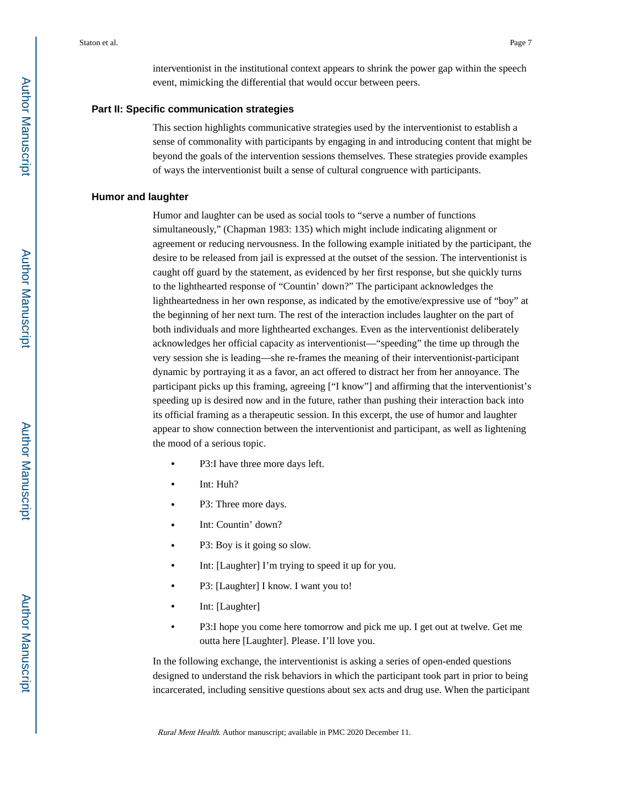interventionist in the institutional context appears to shrink the power gap within the speech event, mimicking the differential that would occur between peers.

#### **Part II: Specific communication strategies**

This section highlights communicative strategies used by the interventionist to establish a sense of commonality with participants by engaging in and introducing content that might be beyond the goals of the intervention sessions themselves. These strategies provide examples of ways the interventionist built a sense of cultural congruence with participants.

#### **Humor and laughter**

Humor and laughter can be used as social tools to "serve a number of functions simultaneously," (Chapman 1983: 135) which might include indicating alignment or agreement or reducing nervousness. In the following example initiated by the participant, the desire to be released from jail is expressed at the outset of the session. The interventionist is caught off guard by the statement, as evidenced by her first response, but she quickly turns to the lighthearted response of "Countin' down?" The participant acknowledges the lightheartedness in her own response, as indicated by the emotive/expressive use of "boy" at the beginning of her next turn. The rest of the interaction includes laughter on the part of both individuals and more lighthearted exchanges. Even as the interventionist deliberately acknowledges her official capacity as interventionist—"speeding" the time up through the very session she is leading—she re-frames the meaning of their interventionist-participant dynamic by portraying it as a favor, an act offered to distract her from her annoyance. The participant picks up this framing, agreeing ["I know"] and affirming that the interventionist's speeding up is desired now and in the future, rather than pushing their interaction back into its official framing as a therapeutic session. In this excerpt, the use of humor and laughter appear to show connection between the interventionist and participant, as well as lightening the mood of a serious topic.

- **•** P3:I have three more days left.
- **•** Int: Huh?
- **•** P3: Three more days.
- **•** Int: Countin' down?
- **•** P3: Boy is it going so slow.
- **•** Int: [Laughter] I'm trying to speed it up for you.
- **•** P3: [Laughter] I know. I want you to!
- **•** Int: [Laughter]
- **•** P3:I hope you come here tomorrow and pick me up. I get out at twelve. Get me outta here [Laughter]. Please. I'll love you.

In the following exchange, the interventionist is asking a series of open-ended questions designed to understand the risk behaviors in which the participant took part in prior to being incarcerated, including sensitive questions about sex acts and drug use. When the participant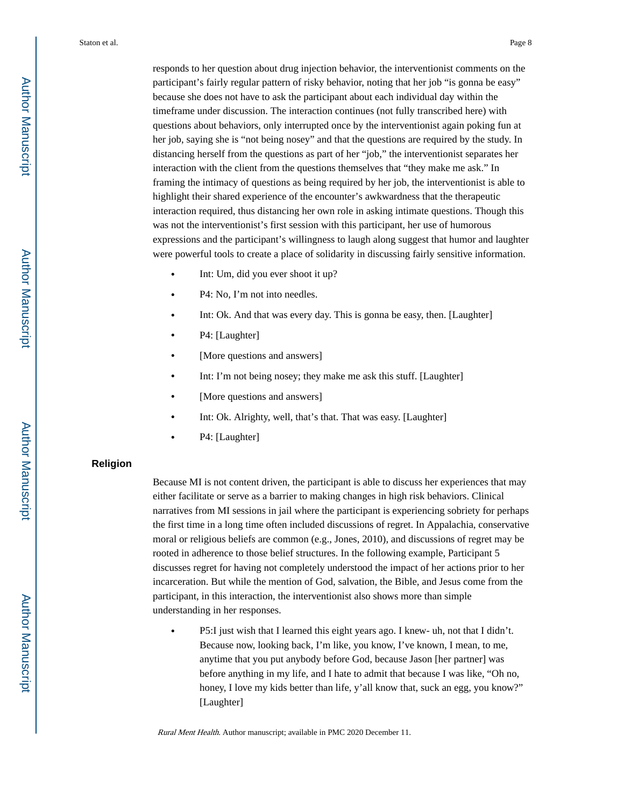responds to her question about drug injection behavior, the interventionist comments on the participant's fairly regular pattern of risky behavior, noting that her job "is gonna be easy" because she does not have to ask the participant about each individual day within the timeframe under discussion. The interaction continues (not fully transcribed here) with questions about behaviors, only interrupted once by the interventionist again poking fun at her job, saying she is "not being nosey" and that the questions are required by the study. In distancing herself from the questions as part of her "job," the interventionist separates her interaction with the client from the questions themselves that "they make me ask." In framing the intimacy of questions as being required by her job, the interventionist is able to highlight their shared experience of the encounter's awkwardness that the therapeutic interaction required, thus distancing her own role in asking intimate questions. Though this was not the interventionist's first session with this participant, her use of humorous expressions and the participant's willingness to laugh along suggest that humor and laughter were powerful tools to create a place of solidarity in discussing fairly sensitive information.

- **•** Int: Um, did you ever shoot it up?
- **•** P4: No, I'm not into needles.
- **•** Int: Ok. And that was every day. This is gonna be easy, then. [Laughter]
- **•** P4: [Laughter]
- **•** [More questions and answers]
- Int: I'm not being nosey; they make me ask this stuff. [Laughter]
- **•** [More questions and answers]
- **•** Int: Ok. Alrighty, well, that's that. That was easy. [Laughter]
- **•** P4: [Laughter]

#### **Religion**

Because MI is not content driven, the participant is able to discuss her experiences that may either facilitate or serve as a barrier to making changes in high risk behaviors. Clinical narratives from MI sessions in jail where the participant is experiencing sobriety for perhaps the first time in a long time often included discussions of regret. In Appalachia, conservative moral or religious beliefs are common (e.g., Jones, 2010), and discussions of regret may be rooted in adherence to those belief structures. In the following example, Participant 5 discusses regret for having not completely understood the impact of her actions prior to her incarceration. But while the mention of God, salvation, the Bible, and Jesus come from the participant, in this interaction, the interventionist also shows more than simple understanding in her responses.

**•** P5:I just wish that I learned this eight years ago. I knew- uh, not that I didn't. Because now, looking back, I'm like, you know, I've known, I mean, to me, anytime that you put anybody before God, because Jason [her partner] was before anything in my life, and I hate to admit that because I was like, "Oh no, honey, I love my kids better than life, y'all know that, suck an egg, you know?" [Laughter]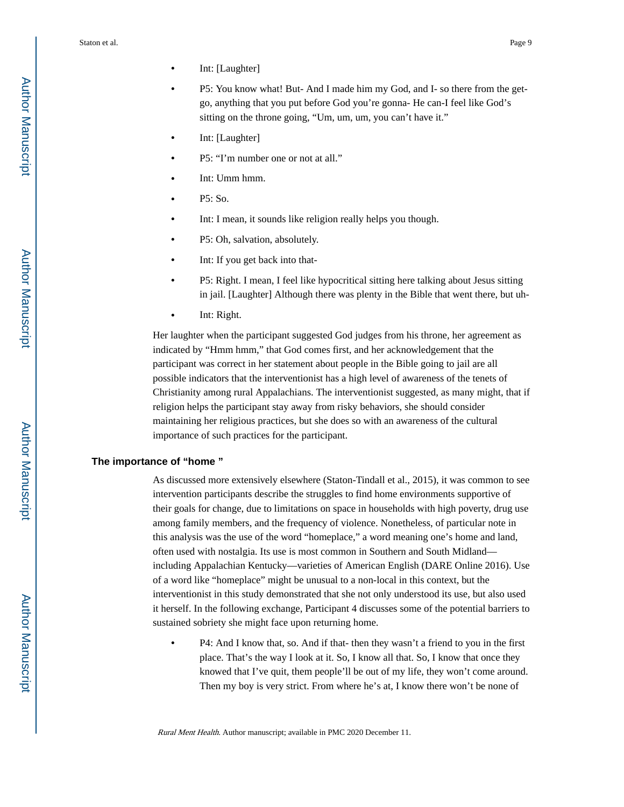- **•** Int: [Laughter]
- **•** P5: You know what! But- And I made him my God, and I- so there from the getgo, anything that you put before God you're gonna- He can-I feel like God's sitting on the throne going, "Um, um, um, you can't have it."
- **•** Int: [Laughter]
- **•** P5: "I'm number one or not at all."
- **•** Int: Umm hmm.
- **•** P5: So.
- **•** Int: I mean, it sounds like religion really helps you though.
- **•** P5: Oh, salvation, absolutely.
- **•** Int: If you get back into that-
- **•** P5: Right. I mean, I feel like hypocritical sitting here talking about Jesus sitting in jail. [Laughter] Although there was plenty in the Bible that went there, but uh-
- **•** Int: Right.

Her laughter when the participant suggested God judges from his throne, her agreement as indicated by "Hmm hmm," that God comes first, and her acknowledgement that the participant was correct in her statement about people in the Bible going to jail are all possible indicators that the interventionist has a high level of awareness of the tenets of Christianity among rural Appalachians. The interventionist suggested, as many might, that if religion helps the participant stay away from risky behaviors, she should consider maintaining her religious practices, but she does so with an awareness of the cultural importance of such practices for the participant.

#### **The importance of "home "**

As discussed more extensively elsewhere (Staton-Tindall et al., 2015), it was common to see intervention participants describe the struggles to find home environments supportive of their goals for change, due to limitations on space in households with high poverty, drug use among family members, and the frequency of violence. Nonetheless, of particular note in this analysis was the use of the word "homeplace," a word meaning one's home and land, often used with nostalgia. Its use is most common in Southern and South Midland including Appalachian Kentucky—varieties of American English (DARE Online 2016). Use of a word like "homeplace" might be unusual to a non-local in this context, but the interventionist in this study demonstrated that she not only understood its use, but also used it herself. In the following exchange, Participant 4 discusses some of the potential barriers to sustained sobriety she might face upon returning home.

**•** P4: And I know that, so. And if that- then they wasn't a friend to you in the first place. That's the way I look at it. So, I know all that. So, I know that once they knowed that I've quit, them people'll be out of my life, they won't come around. Then my boy is very strict. From where he's at, I know there won't be none of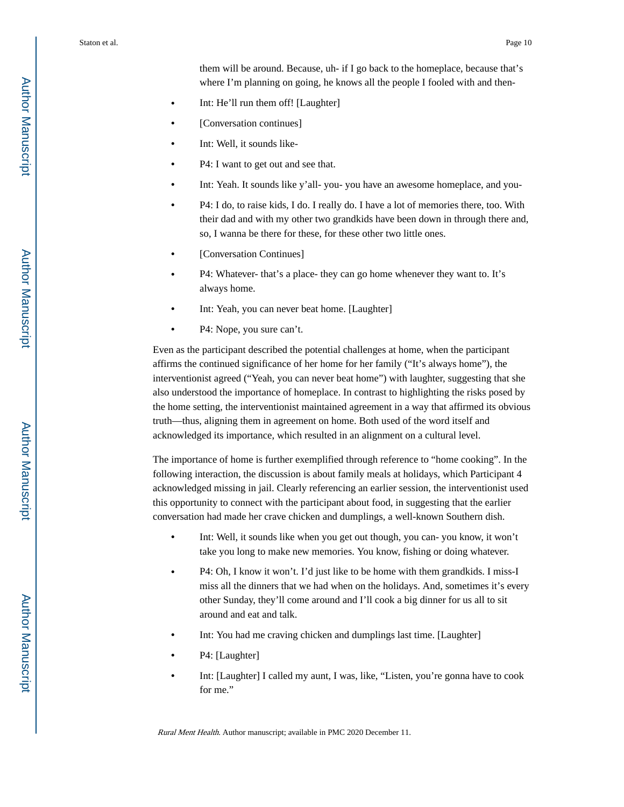them will be around. Because, uh- if I go back to the homeplace, because that's where I'm planning on going, he knows all the people I fooled with and then-

- **•** Int: He'll run them off! [Laughter]
- **•** [Conversation continues]
- **•** Int: Well, it sounds like-
- **•** P4: I want to get out and see that.
- **•** Int: Yeah. It sounds like y'all- you- you have an awesome homeplace, and you-
- **•** P4: I do, to raise kids, I do. I really do. I have a lot of memories there, too. With their dad and with my other two grandkids have been down in through there and, so, I wanna be there for these, for these other two little ones.
- **•** [Conversation Continues]
- **•** P4: Whatever- that's a place- they can go home whenever they want to. It's always home.
- **•** Int: Yeah, you can never beat home. [Laughter]
- **•** P4: Nope, you sure can't.

Even as the participant described the potential challenges at home, when the participant affirms the continued significance of her home for her family ("It's always home"), the interventionist agreed ("Yeah, you can never beat home") with laughter, suggesting that she also understood the importance of homeplace. In contrast to highlighting the risks posed by the home setting, the interventionist maintained agreement in a way that affirmed its obvious truth—thus, aligning them in agreement on home. Both used of the word itself and acknowledged its importance, which resulted in an alignment on a cultural level.

The importance of home is further exemplified through reference to "home cooking". In the following interaction, the discussion is about family meals at holidays, which Participant 4 acknowledged missing in jail. Clearly referencing an earlier session, the interventionist used this opportunity to connect with the participant about food, in suggesting that the earlier conversation had made her crave chicken and dumplings, a well-known Southern dish.

- Int: Well, it sounds like when you get out though, you can-you know, it won't take you long to make new memories. You know, fishing or doing whatever.
- **•** P4: Oh, I know it won't. I'd just like to be home with them grandkids. I miss-I miss all the dinners that we had when on the holidays. And, sometimes it's every other Sunday, they'll come around and I'll cook a big dinner for us all to sit around and eat and talk.
- **•** Int: You had me craving chicken and dumplings last time. [Laughter]
- **•** P4: [Laughter]
- **•** Int: [Laughter] I called my aunt, I was, like, "Listen, you're gonna have to cook for me."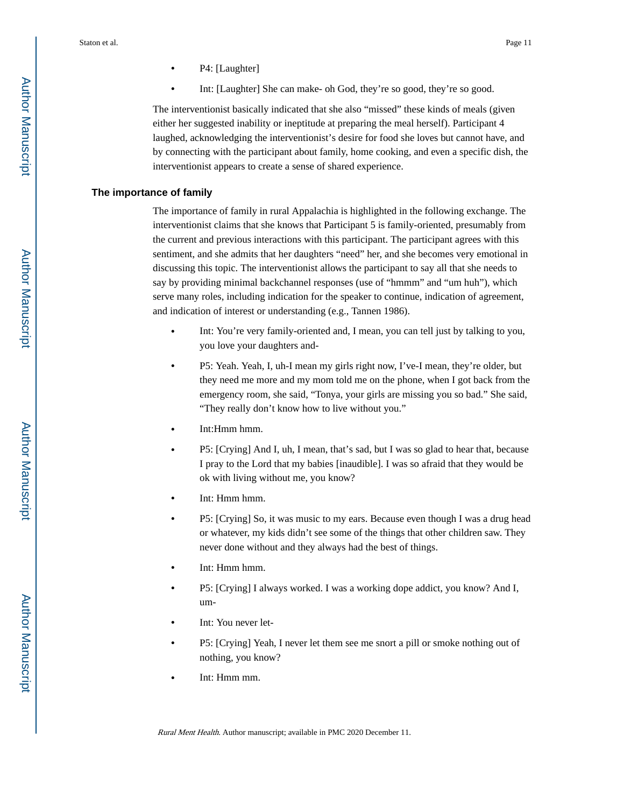- **•** P4: [Laughter]
- **•** Int: [Laughter] She can make- oh God, they're so good, they're so good.

The interventionist basically indicated that she also "missed" these kinds of meals (given either her suggested inability or ineptitude at preparing the meal herself). Participant 4 laughed, acknowledging the interventionist's desire for food she loves but cannot have, and by connecting with the participant about family, home cooking, and even a specific dish, the interventionist appears to create a sense of shared experience.

#### **The importance of family**

The importance of family in rural Appalachia is highlighted in the following exchange. The interventionist claims that she knows that Participant 5 is family-oriented, presumably from the current and previous interactions with this participant. The participant agrees with this sentiment, and she admits that her daughters "need" her, and she becomes very emotional in discussing this topic. The interventionist allows the participant to say all that she needs to say by providing minimal backchannel responses (use of "hmmm" and "um huh"), which serve many roles, including indication for the speaker to continue, indication of agreement, and indication of interest or understanding (e.g., Tannen 1986).

- Int: You're very family-oriented and, I mean, you can tell just by talking to you, you love your daughters and-
- **•** P5: Yeah. Yeah, I, uh-I mean my girls right now, I've-I mean, they're older, but they need me more and my mom told me on the phone, when I got back from the emergency room, she said, "Tonya, your girls are missing you so bad." She said, "They really don't know how to live without you."
- **•** Int:Hmm hmm.
- **•** P5: [Crying] And I, uh, I mean, that's sad, but I was so glad to hear that, because I pray to the Lord that my babies [inaudible]. I was so afraid that they would be ok with living without me, you know?
- **•** Int: Hmm hmm.
- **•** P5: [Crying] So, it was music to my ears. Because even though I was a drug head or whatever, my kids didn't see some of the things that other children saw. They never done without and they always had the best of things.
- **•** Int: Hmm hmm.
- **•** P5: [Crying] I always worked. I was a working dope addict, you know? And I, um-
- **•** Int: You never let-
- **•** P5: [Crying] Yeah, I never let them see me snort a pill or smoke nothing out of nothing, you know?
- **•** Int: Hmm mm.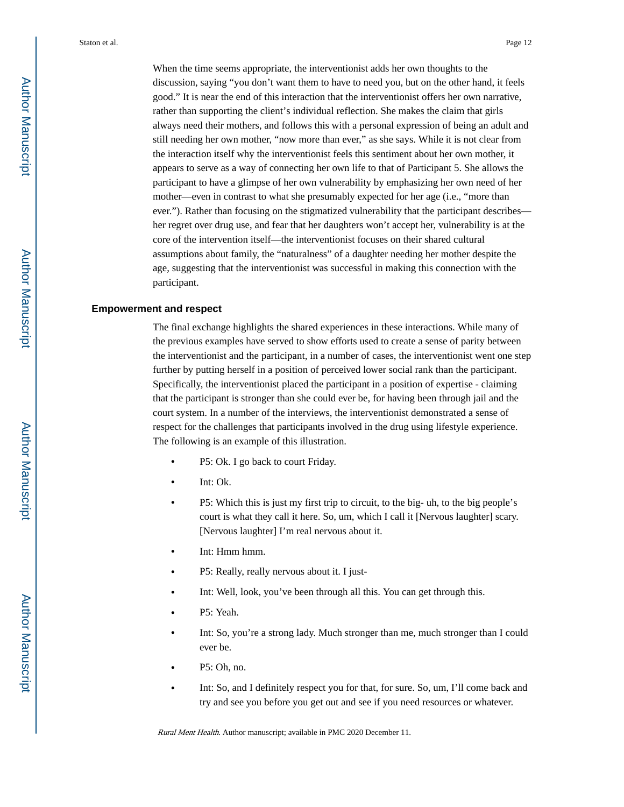When the time seems appropriate, the interventionist adds her own thoughts to the discussion, saying "you don't want them to have to need you, but on the other hand, it feels good." It is near the end of this interaction that the interventionist offers her own narrative, rather than supporting the client's individual reflection. She makes the claim that girls always need their mothers, and follows this with a personal expression of being an adult and still needing her own mother, "now more than ever," as she says. While it is not clear from the interaction itself why the interventionist feels this sentiment about her own mother, it appears to serve as a way of connecting her own life to that of Participant 5. She allows the participant to have a glimpse of her own vulnerability by emphasizing her own need of her mother—even in contrast to what she presumably expected for her age (i.e., "more than ever."). Rather than focusing on the stigmatized vulnerability that the participant describes her regret over drug use, and fear that her daughters won't accept her, vulnerability is at the core of the intervention itself—the interventionist focuses on their shared cultural assumptions about family, the "naturalness" of a daughter needing her mother despite the age, suggesting that the interventionist was successful in making this connection with the participant.

#### **Empowerment and respect**

The final exchange highlights the shared experiences in these interactions. While many of the previous examples have served to show efforts used to create a sense of parity between the interventionist and the participant, in a number of cases, the interventionist went one step further by putting herself in a position of perceived lower social rank than the participant. Specifically, the interventionist placed the participant in a position of expertise - claiming that the participant is stronger than she could ever be, for having been through jail and the court system. In a number of the interviews, the interventionist demonstrated a sense of respect for the challenges that participants involved in the drug using lifestyle experience. The following is an example of this illustration.

- **•** P5: Ok. I go back to court Friday.
- **•** Int: Ok.
- **•** P5: Which this is just my first trip to circuit, to the big- uh, to the big people's court is what they call it here. So, um, which I call it [Nervous laughter] scary. [Nervous laughter] I'm real nervous about it.
- **•** Int: Hmm hmm.
- **•** P5: Really, really nervous about it. I just-
- **•** Int: Well, look, you've been through all this. You can get through this.
- **•** P5: Yeah.
- Int: So, you're a strong lady. Much stronger than me, much stronger than I could ever be.
- **•** P5: Oh, no.
- **•** Int: So, and I definitely respect you for that, for sure. So, um, I'll come back and try and see you before you get out and see if you need resources or whatever.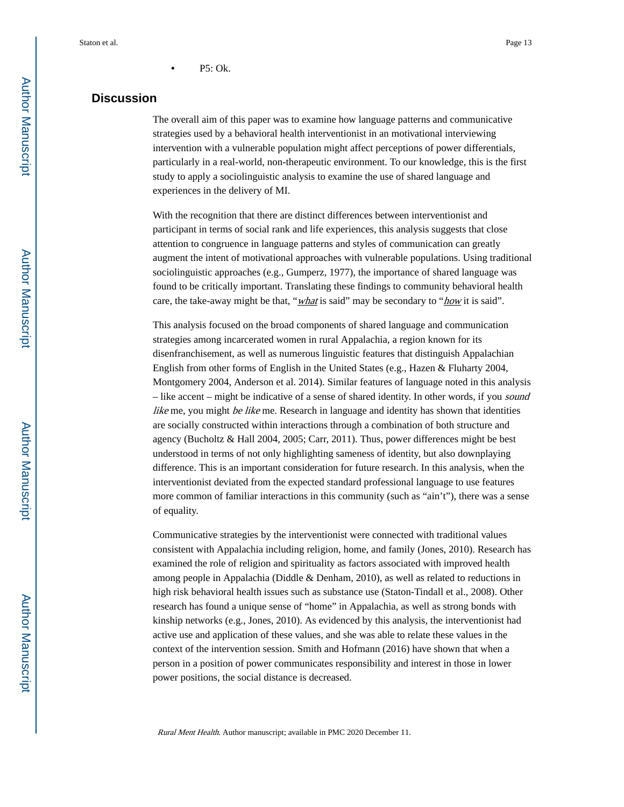# **Discussion**

The overall aim of this paper was to examine how language patterns and communicative strategies used by a behavioral health interventionist in an motivational interviewing intervention with a vulnerable population might affect perceptions of power differentials, particularly in a real-world, non-therapeutic environment. To our knowledge, this is the first study to apply a sociolinguistic analysis to examine the use of shared language and experiences in the delivery of MI.

With the recognition that there are distinct differences between interventionist and participant in terms of social rank and life experiences, this analysis suggests that close attention to congruence in language patterns and styles of communication can greatly augment the intent of motivational approaches with vulnerable populations. Using traditional sociolinguistic approaches (e.g., Gumperz, 1977), the importance of shared language was found to be critically important. Translating these findings to community behavioral health care, the take-away might be that, "*what* is said" may be secondary to "*how* it is said".

This analysis focused on the broad components of shared language and communication strategies among incarcerated women in rural Appalachia, a region known for its disenfranchisement, as well as numerous linguistic features that distinguish Appalachian English from other forms of English in the United States (e.g., Hazen & Fluharty 2004, Montgomery 2004, Anderson et al. 2014). Similar features of language noted in this analysis – like accent – might be indicative of a sense of shared identity. In other words, if you sound like me, you might be like me. Research in language and identity has shown that identities are socially constructed within interactions through a combination of both structure and agency (Bucholtz & Hall 2004, 2005; Carr, 2011). Thus, power differences might be best understood in terms of not only highlighting sameness of identity, but also downplaying difference. This is an important consideration for future research. In this analysis, when the interventionist deviated from the expected standard professional language to use features more common of familiar interactions in this community (such as "ain't"), there was a sense of equality.

Communicative strategies by the interventionist were connected with traditional values consistent with Appalachia including religion, home, and family (Jones, 2010). Research has examined the role of religion and spirituality as factors associated with improved health among people in Appalachia (Diddle & Denham, 2010), as well as related to reductions in high risk behavioral health issues such as substance use (Staton-Tindall et al., 2008). Other research has found a unique sense of "home" in Appalachia, as well as strong bonds with kinship networks (e.g., Jones, 2010). As evidenced by this analysis, the interventionist had active use and application of these values, and she was able to relate these values in the context of the intervention session. Smith and Hofmann (2016) have shown that when a person in a position of power communicates responsibility and interest in those in lower power positions, the social distance is decreased.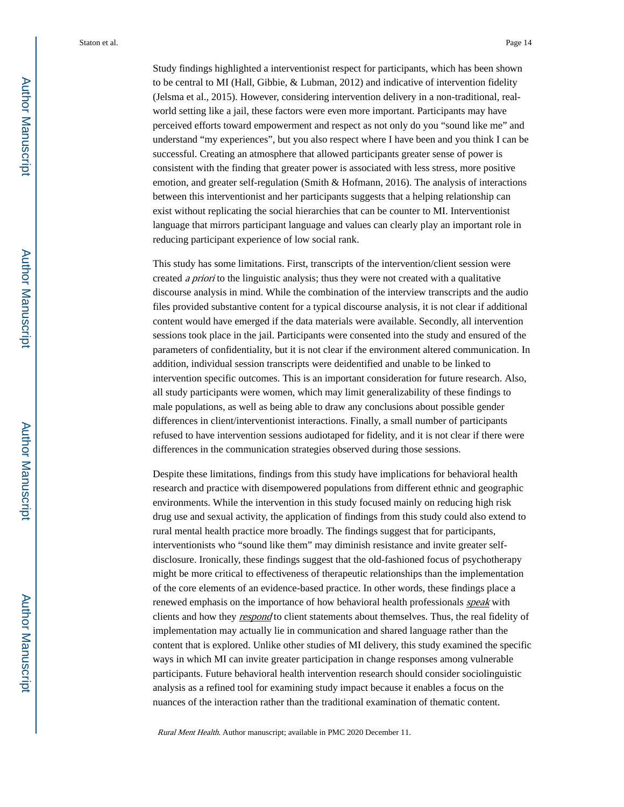Study findings highlighted a interventionist respect for participants, which has been shown to be central to MI (Hall, Gibbie, & Lubman, 2012) and indicative of intervention fidelity (Jelsma et al., 2015). However, considering intervention delivery in a non-traditional, realworld setting like a jail, these factors were even more important. Participants may have perceived efforts toward empowerment and respect as not only do you "sound like me" and understand "my experiences", but you also respect where I have been and you think I can be successful. Creating an atmosphere that allowed participants greater sense of power is consistent with the finding that greater power is associated with less stress, more positive emotion, and greater self-regulation (Smith & Hofmann, 2016). The analysis of interactions between this interventionist and her participants suggests that a helping relationship can exist without replicating the social hierarchies that can be counter to MI. Interventionist language that mirrors participant language and values can clearly play an important role in reducing participant experience of low social rank.

This study has some limitations. First, transcripts of the intervention/client session were created a priori to the linguistic analysis; thus they were not created with a qualitative discourse analysis in mind. While the combination of the interview transcripts and the audio files provided substantive content for a typical discourse analysis, it is not clear if additional content would have emerged if the data materials were available. Secondly, all intervention sessions took place in the jail. Participants were consented into the study and ensured of the parameters of confidentiality, but it is not clear if the environment altered communication. In addition, individual session transcripts were deidentified and unable to be linked to intervention specific outcomes. This is an important consideration for future research. Also, all study participants were women, which may limit generalizability of these findings to male populations, as well as being able to draw any conclusions about possible gender differences in client/interventionist interactions. Finally, a small number of participants refused to have intervention sessions audiotaped for fidelity, and it is not clear if there were differences in the communication strategies observed during those sessions.

Despite these limitations, findings from this study have implications for behavioral health research and practice with disempowered populations from different ethnic and geographic environments. While the intervention in this study focused mainly on reducing high risk drug use and sexual activity, the application of findings from this study could also extend to rural mental health practice more broadly. The findings suggest that for participants, interventionists who "sound like them" may diminish resistance and invite greater selfdisclosure. Ironically, these findings suggest that the old-fashioned focus of psychotherapy might be more critical to effectiveness of therapeutic relationships than the implementation of the core elements of an evidence-based practice. In other words, these findings place a renewed emphasis on the importance of how behavioral health professionals *speak* with clients and how they respond to client statements about themselves. Thus, the real fidelity of implementation may actually lie in communication and shared language rather than the content that is explored. Unlike other studies of MI delivery, this study examined the specific ways in which MI can invite greater participation in change responses among vulnerable participants. Future behavioral health intervention research should consider sociolinguistic analysis as a refined tool for examining study impact because it enables a focus on the nuances of the interaction rather than the traditional examination of thematic content.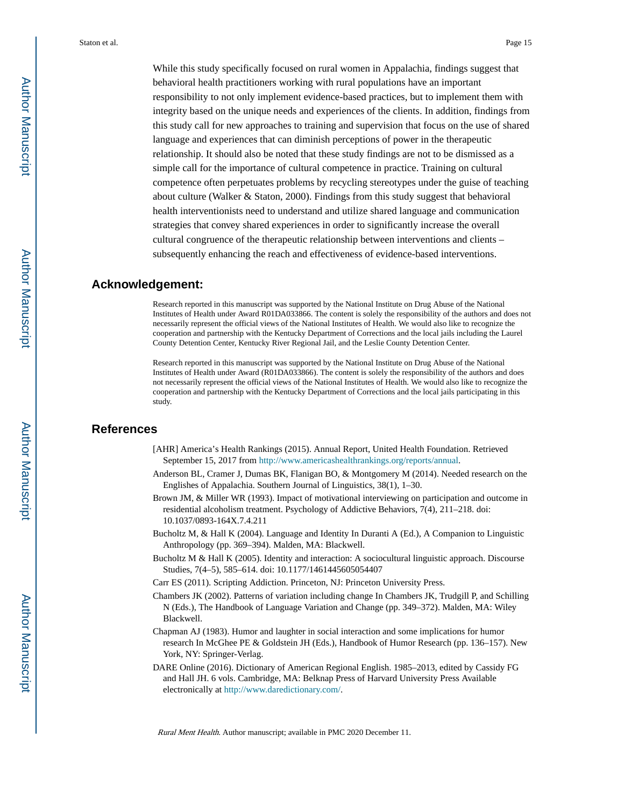While this study specifically focused on rural women in Appalachia, findings suggest that behavioral health practitioners working with rural populations have an important responsibility to not only implement evidence-based practices, but to implement them with integrity based on the unique needs and experiences of the clients. In addition, findings from this study call for new approaches to training and supervision that focus on the use of shared language and experiences that can diminish perceptions of power in the therapeutic relationship. It should also be noted that these study findings are not to be dismissed as a simple call for the importance of cultural competence in practice. Training on cultural competence often perpetuates problems by recycling stereotypes under the guise of teaching about culture (Walker & Staton, 2000). Findings from this study suggest that behavioral health interventionists need to understand and utilize shared language and communication strategies that convey shared experiences in order to significantly increase the overall cultural congruence of the therapeutic relationship between interventions and clients – subsequently enhancing the reach and effectiveness of evidence-based interventions.

## **Acknowledgement:**

Research reported in this manuscript was supported by the National Institute on Drug Abuse of the National Institutes of Health under Award R01DA033866. The content is solely the responsibility of the authors and does not necessarily represent the official views of the National Institutes of Health. We would also like to recognize the cooperation and partnership with the Kentucky Department of Corrections and the local jails including the Laurel County Detention Center, Kentucky River Regional Jail, and the Leslie County Detention Center.

Research reported in this manuscript was supported by the National Institute on Drug Abuse of the National Institutes of Health under Award (R01DA033866). The content is solely the responsibility of the authors and does not necessarily represent the official views of the National Institutes of Health. We would also like to recognize the cooperation and partnership with the Kentucky Department of Corrections and the local jails participating in this study.

## **References**

- [AHR] America's Health Rankings (2015). Annual Report, United Health Foundation. Retrieved September 15, 2017 from [http://www.americashealthrankings.org/reports/annual.](http://www.americashealthrankings.org/reports/annual)
- Anderson BL, Cramer J, Dumas BK, Flanigan BO, & Montgomery M (2014). Needed research on the Englishes of Appalachia. Southern Journal of Linguistics, 38(1), 1–30.
- Brown JM, & Miller WR (1993). Impact of motivational interviewing on participation and outcome in residential alcoholism treatment. Psychology of Addictive Behaviors, 7(4), 211–218. doi: 10.1037/0893-164X.7.4.211
- Bucholtz M, & Hall K (2004). Language and Identity In Duranti A (Ed.), A Companion to Linguistic Anthropology (pp. 369–394). Malden, MA: Blackwell.
- Bucholtz M & Hall K (2005). Identity and interaction: A sociocultural linguistic approach. Discourse Studies, 7(4–5), 585–614. doi: 10.1177/1461445605054407
- Carr ES (2011). Scripting Addiction. Princeton, NJ: Princeton University Press.
- Chambers JK (2002). Patterns of variation including change In Chambers JK, Trudgill P, and Schilling N (Eds.), The Handbook of Language Variation and Change (pp. 349–372). Malden, MA: Wiley Blackwell.
- Chapman AJ (1983). Humor and laughter in social interaction and some implications for humor research In McGhee PE & Goldstein JH (Eds.), Handbook of Humor Research (pp. 136–157). New York, NY: Springer-Verlag.
- DARE Online (2016). Dictionary of American Regional English. 1985–2013, edited by Cassidy FG and Hall JH. 6 vols. Cambridge, MA: Belknap Press of Harvard University Press Available electronically at <http://www.daredictionary.com/>.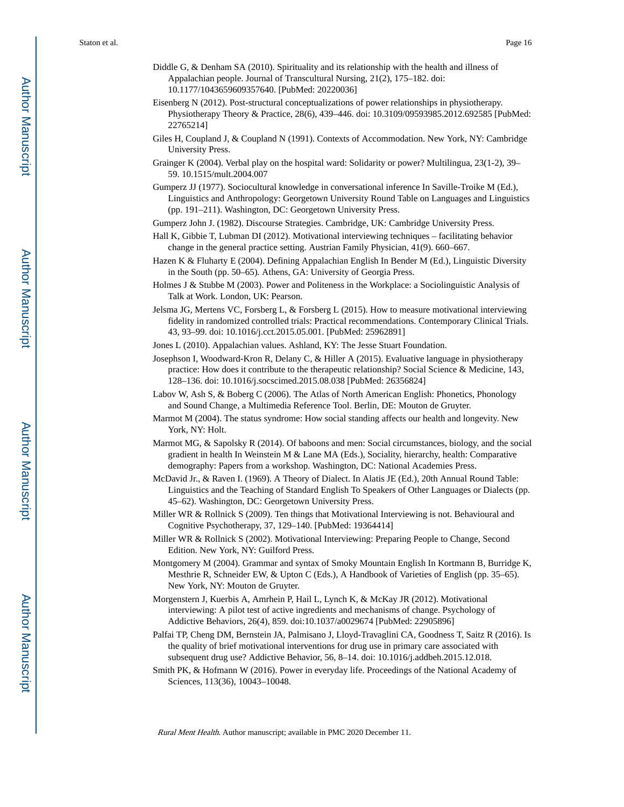- Diddle G, & Denham SA (2010). Spirituality and its relationship with the health and illness of Appalachian people. Journal of Transcultural Nursing, 21(2), 175–182. doi: 10.1177/1043659609357640. [PubMed: 20220036]
- Eisenberg N (2012). Post-structural conceptualizations of power relationships in physiotherapy. Physiotherapy Theory & Practice, 28(6), 439–446. doi: 10.3109/09593985.2012.692585 [PubMed: 22765214]
- Giles H, Coupland J, & Coupland N (1991). Contexts of Accommodation. New York, NY: Cambridge University Press.
- Grainger K (2004). Verbal play on the hospital ward: Solidarity or power? Multilingua, 23(1-2), 39– 59. 10.1515/mult.2004.007
- Gumperz JJ (1977). Sociocultural knowledge in conversational inference In Saville-Troike M (Ed.), Linguistics and Anthropology: Georgetown University Round Table on Languages and Linguistics (pp. 191–211). Washington, DC: Georgetown University Press.
- Gumperz John J. (1982). Discourse Strategies. Cambridge, UK: Cambridge University Press.
- Hall K, Gibbie T, Lubman DI (2012). Motivational interviewing techniques facilitating behavior change in the general practice setting. Austrian Family Physician, 41(9). 660–667.
- Hazen K & Fluharty E (2004). Defining Appalachian English In Bender M (Ed.), Linguistic Diversity in the South (pp. 50–65). Athens, GA: University of Georgia Press.
- Holmes J & Stubbe M (2003). Power and Politeness in the Workplace: a Sociolinguistic Analysis of Talk at Work. London, UK: Pearson.
- Jelsma JG, Mertens VC, Forsberg L, & Forsberg L (2015). How to measure motivational interviewing fidelity in randomized controlled trials: Practical recommendations. Contemporary Clinical Trials. 43, 93–99. doi: 10.1016/j.cct.2015.05.001. [PubMed: 25962891]
- Jones L (2010). Appalachian values. Ashland, KY: The Jesse Stuart Foundation.
- Josephson I, Woodward-Kron R, Delany C, & Hiller A (2015). Evaluative language in physiotherapy practice: How does it contribute to the therapeutic relationship? Social Science & Medicine, 143, 128–136. doi: 10.1016/j.socscimed.2015.08.038 [PubMed: 26356824]
- Labov W, Ash S, & Boberg C (2006). The Atlas of North American English: Phonetics, Phonology and Sound Change, a Multimedia Reference Tool. Berlin, DE: Mouton de Gruyter.
- Marmot M (2004). The status syndrome: How social standing affects our health and longevity. New York, NY: Holt.
- Marmot MG, & Sapolsky R (2014). Of baboons and men: Social circumstances, biology, and the social gradient in health In Weinstein M & Lane MA (Eds.), Sociality, hierarchy, health: Comparative demography: Papers from a workshop. Washington, DC: National Academies Press.
- McDavid Jr., & Raven I. (1969). A Theory of Dialect. In Alatis JE (Ed.), 20th Annual Round Table: Linguistics and the Teaching of Standard English To Speakers of Other Languages or Dialects (pp. 45–62). Washington, DC: Georgetown University Press.
- Miller WR & Rollnick S (2009). Ten things that Motivational Interviewing is not. Behavioural and Cognitive Psychotherapy, 37, 129–140. [PubMed: 19364414]
- Miller WR & Rollnick S (2002). Motivational Interviewing: Preparing People to Change, Second Edition. New York, NY: Guilford Press.
- Montgomery M (2004). Grammar and syntax of Smoky Mountain English In Kortmann B, Burridge K, Mesthrie R, Schneider EW, & Upton C (Eds.), A Handbook of Varieties of English (pp. 35–65). New York, NY: Mouton de Gruyter.
- Morgenstern J, Kuerbis A, Amrhein P, Hail L, Lynch K, & McKay JR (2012). Motivational interviewing: A pilot test of active ingredients and mechanisms of change. Psychology of Addictive Behaviors, 26(4), 859. doi:10.1037/a0029674 [PubMed: 22905896]
- Palfai TP, Cheng DM, Bernstein JA, Palmisano J, Lloyd-Travaglini CA, Goodness T, Saitz R (2016). Is the quality of brief motivational interventions for drug use in primary care associated with subsequent drug use? Addictive Behavior, 56, 8–14. doi: 10.1016/j.addbeh.2015.12.018.
- Smith PK, & Hofmann W (2016). Power in everyday life. Proceedings of the National Academy of Sciences, 113(36), 10043–10048.